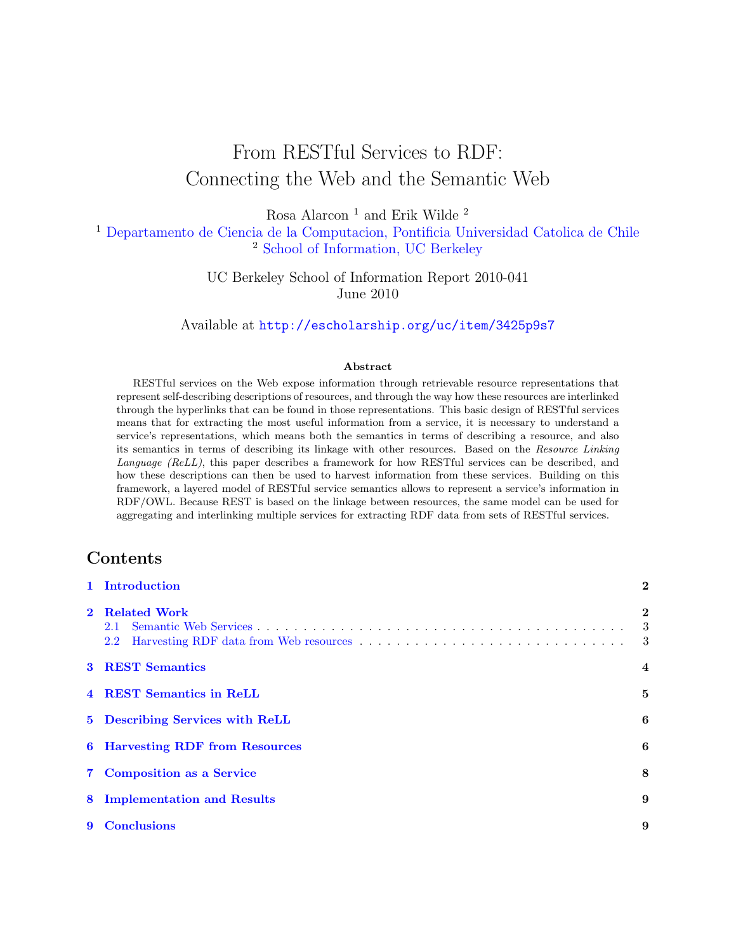# From RESTful Services to RDF: Connecting the Web and the Semantic Web

Rosa Alarcon $^{\rm 1}$  and Erik Wilde $^{\rm 2}$ 

<sup>1</sup> [Departamento de Ciencia de la Computacion, Pontificia Universidad Catolica de Chile](http://www.dcc.uchile.cl/) <sup>2</sup> [School of Information, UC Berkeley](http://www.ischool.berkeley.edu/)

> UC Berkeley School of Information Report 2010-041 June 2010

Available at <http://escholarship.org/uc/item/3425p9s7>

#### Abstract

RESTful services on the Web expose information through retrievable resource representations that represent self-describing descriptions of resources, and through the way how these resources are interlinked through the hyperlinks that can be found in those representations. This basic design of RESTful services means that for extracting the most useful information from a service, it is necessary to understand a service's representations, which means both the semantics in terms of describing a resource, and also its semantics in terms of describing its linkage with other resources. Based on the Resource Linking Language (ReLL), this paper describes a framework for how RESTful services can be described, and how these descriptions can then be used to harvest information from these services. Building on this framework, a layered model of RESTful service semantics allows to represent a service's information in RDF/OWL. Because REST is based on the linkage between resources, the same model can be used for aggregating and interlinking multiple services for extracting RDF data from sets of RESTful services.

### Contents

| 1 Introduction                                     | $\overline{2}$                               |  |  |
|----------------------------------------------------|----------------------------------------------|--|--|
| 2 Related Work                                     | $\bf{2}$<br>$\overline{\phantom{a}3}$<br>- 3 |  |  |
| <b>3 REST Semantics</b><br>$\overline{\mathbf{4}}$ |                                              |  |  |
| 4 REST Semantics in ReLL                           | 5                                            |  |  |
| 5 Describing Services with ReLL                    | 6                                            |  |  |
| <b>6</b> Harvesting RDF from Resources             | 6                                            |  |  |
| 7 Composition as a Service                         | 8                                            |  |  |
| 8 Implementation and Results                       | 9                                            |  |  |
| 9 Conclusions                                      | 9                                            |  |  |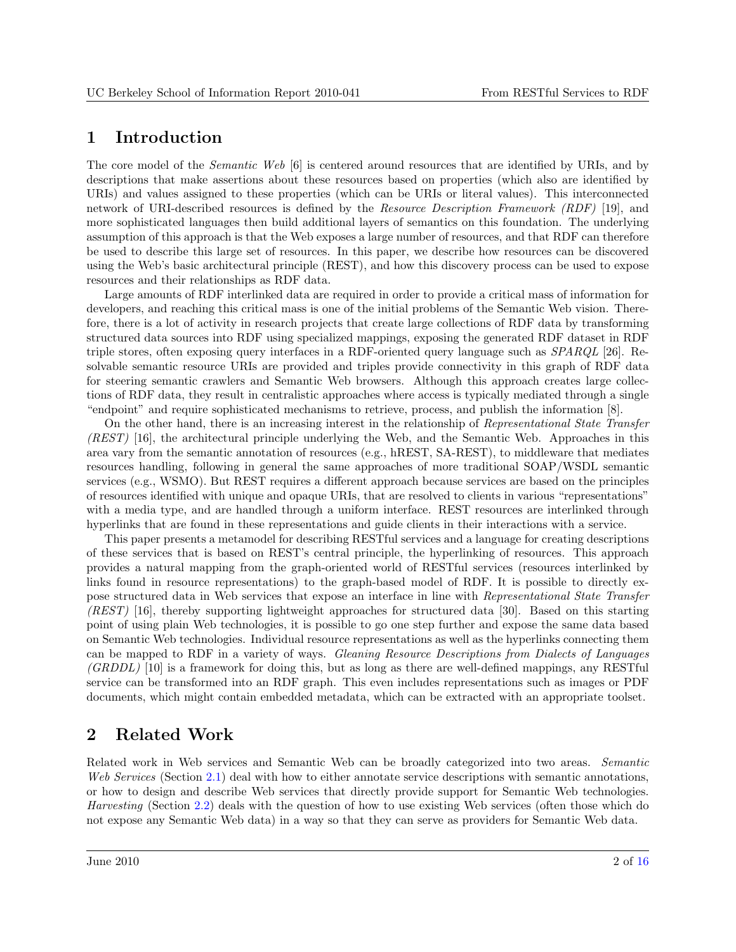#### <span id="page-1-0"></span>1 Introduction

The core model of the Semantic Web [\[6\]](#page-9-0) is centered around resources that are identified by URIs, and by descriptions that make assertions about these resources based on properties (which also are identified by URIs) and values assigned to these properties (which can be URIs or literal values). This interconnected network of URI-described resources is defined by the Resource Description Framework (RDF) [\[19\]](#page-10-0), and more sophisticated languages then build additional layers of semantics on this foundation. The underlying assumption of this approach is that the Web exposes a large number of resources, and that RDF can therefore be used to describe this large set of resources. In this paper, we describe how resources can be discovered using the Web's basic architectural principle (REST), and how this discovery process can be used to expose resources and their relationships as RDF data.

Large amounts of RDF interlinked data are required in order to provide a critical mass of information for developers, and reaching this critical mass is one of the initial problems of the Semantic Web vision. Therefore, there is a lot of activity in research projects that create large collections of RDF data by transforming structured data sources into RDF using specialized mappings, exposing the generated RDF dataset in RDF triple stores, often exposing query interfaces in a RDF-oriented query language such as SPARQL [\[26\]](#page-11-0). Resolvable semantic resource URIs are provided and triples provide connectivity in this graph of RDF data for steering semantic crawlers and Semantic Web browsers. Although this approach creates large collections of RDF data, they result in centralistic approaches where access is typically mediated through a single "endpoint" and require sophisticated mechanisms to retrieve, process, and publish the information [\[8\]](#page-9-0).

On the other hand, there is an increasing interest in the relationship of Representational State Transfer (REST) [\[16\]](#page-10-0), the architectural principle underlying the Web, and the Semantic Web. Approaches in this area vary from the semantic annotation of resources (e.g., hREST, SA-REST), to middleware that mediates resources handling, following in general the same approaches of more traditional SOAP/WSDL semantic services (e.g., WSMO). But REST requires a different approach because services are based on the principles of resources identified with unique and opaque URIs, that are resolved to clients in various "representations" with a media type, and are handled through a uniform interface. REST resources are interlinked through hyperlinks that are found in these representations and guide clients in their interactions with a service.

This paper presents a metamodel for describing RESTful services and a language for creating descriptions of these services that is based on REST's central principle, the hyperlinking of resources. This approach provides a natural mapping from the graph-oriented world of RESTful services (resources interlinked by links found in resource representations) to the graph-based model of RDF. It is possible to directly expose structured data in Web services that expose an interface in line with Representational State Transfer (REST) [\[16\]](#page-10-0), thereby supporting lightweight approaches for structured data [\[30\]](#page-11-0). Based on this starting point of using plain Web technologies, it is possible to go one step further and expose the same data based on Semantic Web technologies. Individual resource representations as well as the hyperlinks connecting them can be mapped to RDF in a variety of ways. Gleaning Resource Descriptions from Dialects of Languages (GRDDL) [\[10\]](#page-10-0) is a framework for doing this, but as long as there are well-defined mappings, any RESTful service can be transformed into an RDF graph. This even includes representations such as images or PDF documents, which might contain embedded metadata, which can be extracted with an appropriate toolset.

### 2 Related Work

Related work in Web services and Semantic Web can be broadly categorized into two areas. Semantic Web Services (Section [2.1\)](#page-2-0) deal with how to either annotate service descriptions with semantic annotations, or how to design and describe Web services that directly provide support for Semantic Web technologies. Harvesting (Section [2.2\)](#page-2-0) deals with the question of how to use existing Web services (often those which do not expose any Semantic Web data) in a way so that they can serve as providers for Semantic Web data.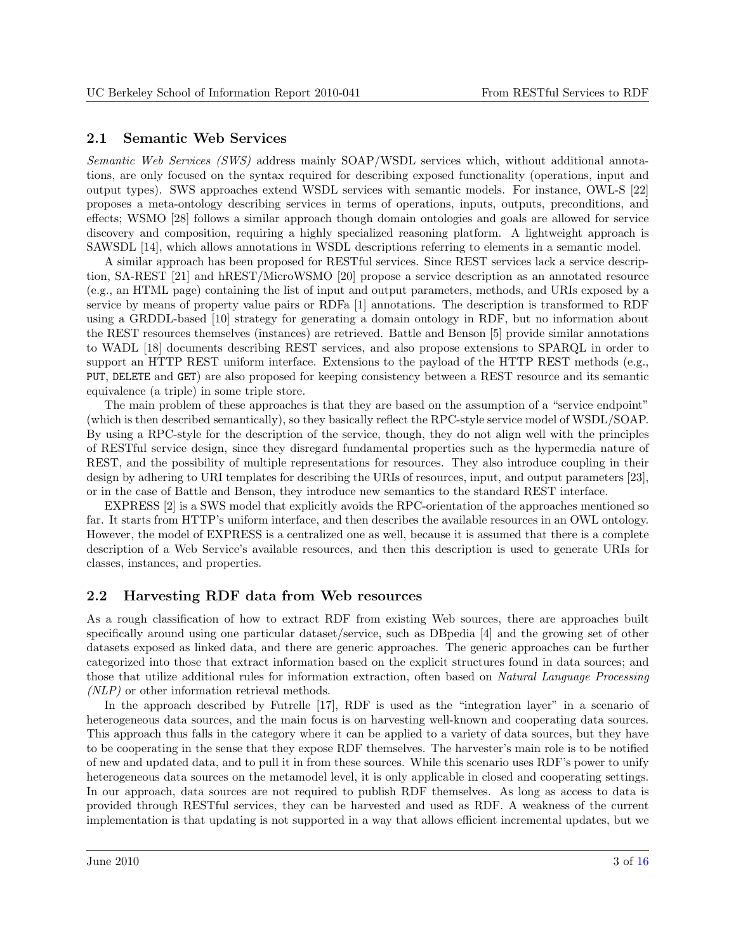#### <span id="page-2-0"></span>2.1 Semantic Web Services

Semantic Web Services (SWS) address mainly SOAP/WSDL services which, without additional annotations, are only focused on the syntax required for describing exposed functionality (operations, input and output types). SWS approaches extend WSDL services with semantic models. For instance, OWL-S [\[22\]](#page-10-0) proposes a meta-ontology describing services in terms of operations, inputs, outputs, preconditions, and effects; WSMO [\[28\]](#page-11-0) follows a similar approach though domain ontologies and goals are allowed for service discovery and composition, requiring a highly specialized reasoning platform. A lightweight approach is SAWSDL [\[14\]](#page-10-0), which allows annotations in WSDL descriptions referring to elements in a semantic model.

A similar approach has been proposed for RESTful services. Since REST services lack a service description, SA-REST [\[21\]](#page-10-0) and hREST/MicroWSMO [\[20\]](#page-10-0) propose a service description as an annotated resource (e.g., an HTML page) containing the list of input and output parameters, methods, and URIs exposed by a service by means of property value pairs or RDFa [\[1\]](#page-9-0) annotations. The description is transformed to RDF using a GRDDL-based [\[10\]](#page-10-0) strategy for generating a domain ontology in RDF, but no information about the REST resources themselves (instances) are retrieved. Battle and Benson [\[5\]](#page-9-0) provide similar annotations to WADL [\[18\]](#page-10-0) documents describing REST services, and also propose extensions to SPARQL in order to support an HTTP REST uniform interface. Extensions to the payload of the HTTP REST methods (e.g., PUT, DELETE and GET) are also proposed for keeping consistency between a REST resource and its semantic equivalence (a triple) in some triple store.

The main problem of these approaches is that they are based on the assumption of a "service endpoint" (which is then described semantically), so they basically reflect the RPC-style service model of WSDL/SOAP. By using a RPC-style for the description of the service, though, they do not align well with the principles of RESTful service design, since they disregard fundamental properties such as the hypermedia nature of REST, and the possibility of multiple representations for resources. They also introduce coupling in their design by adhering to URI templates for describing the URIs of resources, input, and output parameters [\[23\]](#page-10-0), or in the case of Battle and Benson, they introduce new semantics to the standard REST interface.

EXPRESS [\[2\]](#page-9-0) is a SWS model that explicitly avoids the RPC-orientation of the approaches mentioned so far. It starts from HTTP's uniform interface, and then describes the available resources in an OWL ontology. However, the model of EXPRESS is a centralized one as well, because it is assumed that there is a complete description of a Web Service's available resources, and then this description is used to generate URIs for classes, instances, and properties.

#### 2.2 Harvesting RDF data from Web resources

As a rough classification of how to extract RDF from existing Web sources, there are approaches built specifically around using one particular dataset/service, such as DBpedia [\[4\]](#page-9-0) and the growing set of other datasets exposed as linked data, and there are generic approaches. The generic approaches can be further categorized into those that extract information based on the explicit structures found in data sources; and those that utilize additional rules for information extraction, often based on Natural Language Processing (NLP) or other information retrieval methods.

In the approach described by Futrelle [\[17\]](#page-10-0), RDF is used as the "integration layer" in a scenario of heterogeneous data sources, and the main focus is on harvesting well-known and cooperating data sources. This approach thus falls in the category where it can be applied to a variety of data sources, but they have to be cooperating in the sense that they expose RDF themselves. The harvester's main role is to be notified of new and updated data, and to pull it in from these sources. While this scenario uses RDF's power to unify heterogeneous data sources on the metamodel level, it is only applicable in closed and cooperating settings. In our approach, data sources are not required to publish RDF themselves. As long as access to data is provided through RESTful services, they can be harvested and used as RDF. A weakness of the current implementation is that updating is not supported in a way that allows efficient incremental updates, but we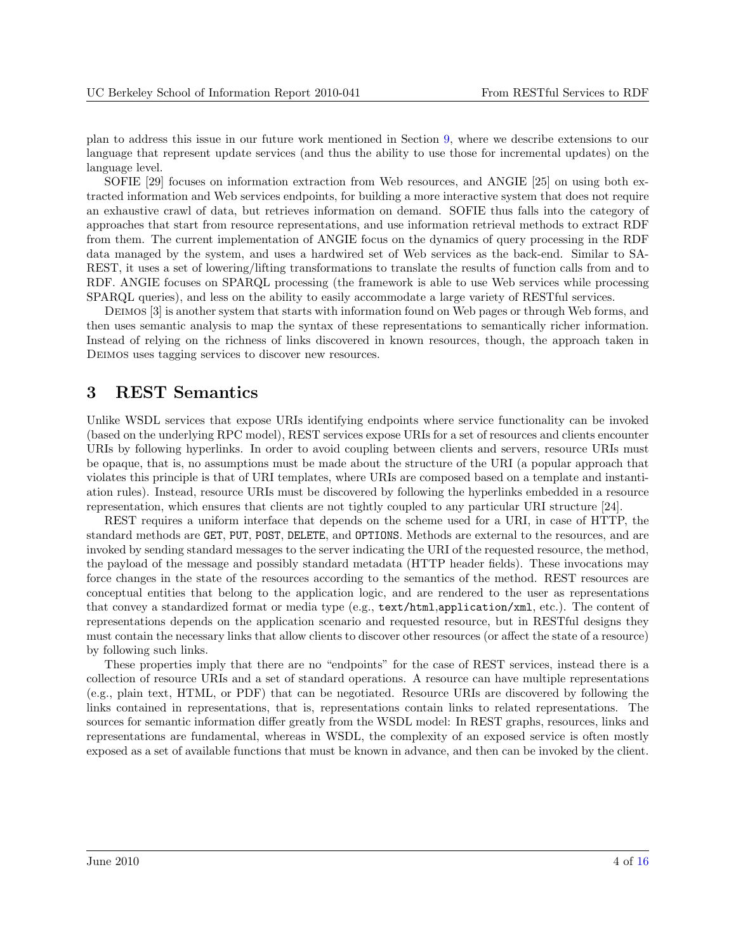<span id="page-3-0"></span>plan to address this issue in our future work mentioned in Section [9,](#page-8-0) where we describe extensions to our language that represent update services (and thus the ability to use those for incremental updates) on the language level.

SOFIE [\[29\]](#page-11-0) focuses on information extraction from Web resources, and ANGIE [\[25\]](#page-11-0) on using both extracted information and Web services endpoints, for building a more interactive system that does not require an exhaustive crawl of data, but retrieves information on demand. SOFIE thus falls into the category of approaches that start from resource representations, and use information retrieval methods to extract RDF from them. The current implementation of ANGIE focus on the dynamics of query processing in the RDF data managed by the system, and uses a hardwired set of Web services as the back-end. Similar to SA-REST, it uses a set of lowering/lifting transformations to translate the results of function calls from and to RDF. ANGIE focuses on SPARQL processing (the framework is able to use Web services while processing SPARQL queries), and less on the ability to easily accommodate a large variety of RESTful services.

Deimos [\[3\]](#page-9-0) is another system that starts with information found on Web pages or through Web forms, and then uses semantic analysis to map the syntax of these representations to semantically richer information. Instead of relying on the richness of links discovered in known resources, though, the approach taken in Deimos uses tagging services to discover new resources.

### 3 REST Semantics

Unlike WSDL services that expose URIs identifying endpoints where service functionality can be invoked (based on the underlying RPC model), REST services expose URIs for a set of resources and clients encounter URIs by following hyperlinks. In order to avoid coupling between clients and servers, resource URIs must be opaque, that is, no assumptions must be made about the structure of the URI (a popular approach that violates this principle is that of URI templates, where URIs are composed based on a template and instantiation rules). Instead, resource URIs must be discovered by following the hyperlinks embedded in a resource representation, which ensures that clients are not tightly coupled to any particular URI structure [\[24\]](#page-10-0).

REST requires a uniform interface that depends on the scheme used for a URI, in case of HTTP, the standard methods are GET, PUT, POST, DELETE, and OPTIONS. Methods are external to the resources, and are invoked by sending standard messages to the server indicating the URI of the requested resource, the method, the payload of the message and possibly standard metadata (HTTP header fields). These invocations may force changes in the state of the resources according to the semantics of the method. REST resources are conceptual entities that belong to the application logic, and are rendered to the user as representations that convey a standardized format or media type (e.g., text/html,application/xml, etc.). The content of representations depends on the application scenario and requested resource, but in RESTful designs they must contain the necessary links that allow clients to discover other resources (or affect the state of a resource) by following such links.

These properties imply that there are no "endpoints" for the case of REST services, instead there is a collection of resource URIs and a set of standard operations. A resource can have multiple representations (e.g., plain text, HTML, or PDF) that can be negotiated. Resource URIs are discovered by following the links contained in representations, that is, representations contain links to related representations. The sources for semantic information differ greatly from the WSDL model: In REST graphs, resources, links and representations are fundamental, whereas in WSDL, the complexity of an exposed service is often mostly exposed as a set of available functions that must be known in advance, and then can be invoked by the client.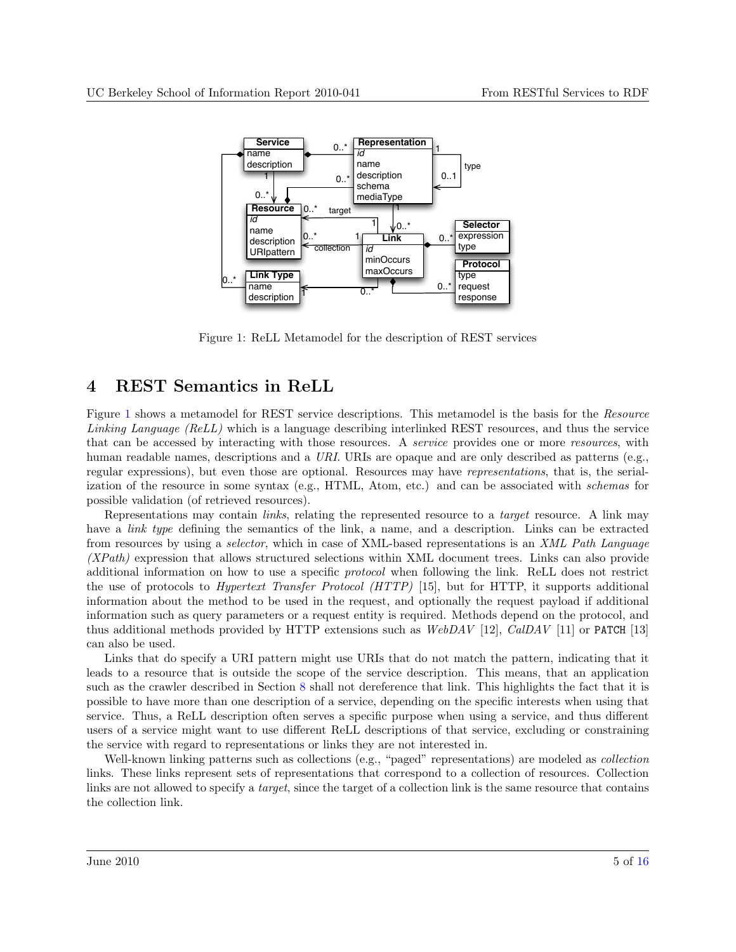<span id="page-4-0"></span>

Figure 1: ReLL Metamodel for the description of REST services

### 4 REST Semantics in ReLL

Figure 1 shows a metamodel for REST service descriptions. This metamodel is the basis for the Resource Linking Language (ReLL) which is a language describing interlinked REST resources, and thus the service that can be accessed by interacting with those resources. A service provides one or more resources, with human readable names, descriptions and a URI. URIs are opaque and are only described as patterns (e.g., regular expressions), but even those are optional. Resources may have representations, that is, the serialization of the resource in some syntax (e.g., HTML, Atom, etc.) and can be associated with schemas for possible validation (of retrieved resources).

Representations may contain *links*, relating the represented resource to a *target* resource. A link may have a *link type* defining the semantics of the link, a name, and a description. Links can be extracted from resources by using a selector, which in case of XML-based representations is an XML Path Language (XPath) expression that allows structured selections within XML document trees. Links can also provide additional information on how to use a specific protocol when following the link. ReLL does not restrict the use of protocols to Hypertext Transfer Protocol (HTTP) [\[15\]](#page-10-0), but for HTTP, it supports additional information about the method to be used in the request, and optionally the request payload if additional information such as query parameters or a request entity is required. Methods depend on the protocol, and thus additional methods provided by HTTP extensions such as  $WebDAV$  [\[12\]](#page-10-0),  $CalDAV$  [\[11\]](#page-10-0) or PATCH [\[13\]](#page-10-0) can also be used.

Links that do specify a URI pattern might use URIs that do not match the pattern, indicating that it leads to a resource that is outside the scope of the service description. This means, that an application such as the crawler described in Section [8](#page-8-0) shall not dereference that link. This highlights the fact that it is possible to have more than one description of a service, depending on the specific interests when using that service. Thus, a ReLL description often serves a specific purpose when using a service, and thus different users of a service might want to use different ReLL descriptions of that service, excluding or constraining the service with regard to representations or links they are not interested in.

Well-known linking patterns such as collections (e.g., "paged" representations) are modeled as *collection* links. These links represent sets of representations that correspond to a collection of resources. Collection links are not allowed to specify a *target*, since the target of a collection link is the same resource that contains the collection link.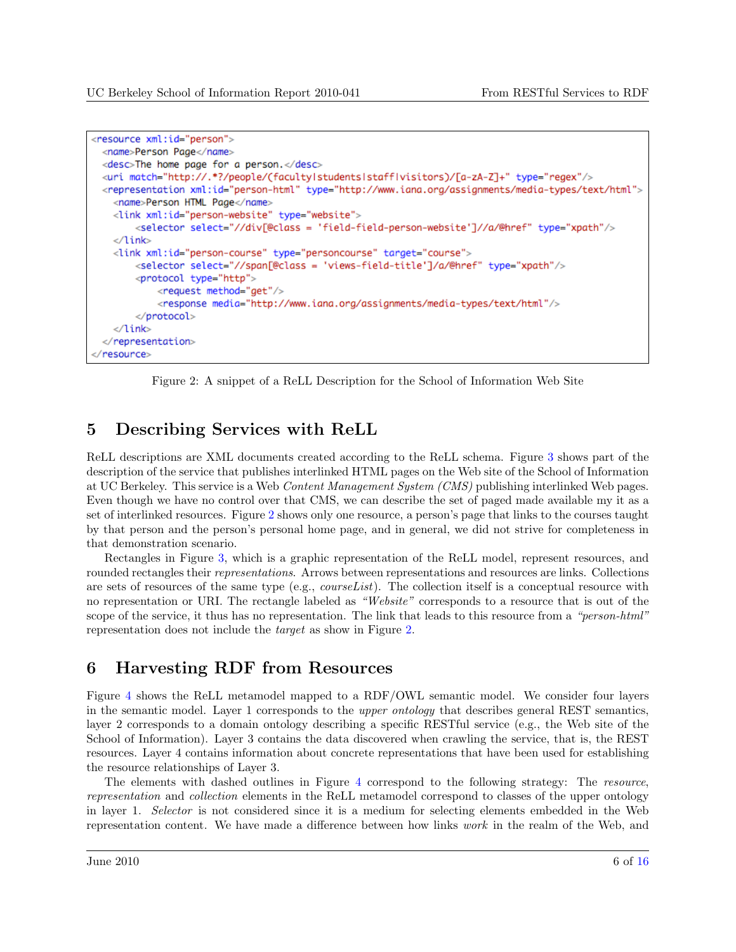```
<resource xml:id="person">
 <name>Person Page</name>
 <desc>The home page for a person.</desc>
 </ri match="http://.*?/people/(faculty|students|staff|visitors)/[a-zA-Z]+" type="reqex"/>
 <representation xml:id="person-html" type="http://www.iana.org/assignments/media-types/text/html">
   <name>Person HTML Page</name>
   <link xml:id="person-website" type="website">
       <selector select="//div[@class = 'field-field-person-website']//a/@href" type="xpath"/>
   </link>
   <link xml:id="person-course" type="personcourse" target="course">
       <selector select="//span[@class = 'views-field-title']/a/@href" type="xpath"/>
       <protocol type="http">
           <request method="get"/>
            <response media="http://www.iana.org/assignments/media-types/text/html"/>
       </protocol>
   </link>
 </representation>
</resource>
```
Figure 2: A snippet of a ReLL Description for the School of Information Web Site

# 5 Describing Services with ReLL

ReLL descriptions are XML documents created according to the ReLL schema. Figure [3](#page-6-0) shows part of the description of the service that publishes interlinked HTML pages on the Web site of the School of Information at UC Berkeley. This service is a Web Content Management System (CMS) publishing interlinked Web pages. Even though we have no control over that CMS, we can describe the set of paged made available my it as a set of interlinked resources. Figure 2 shows only one resource, a person's page that links to the courses taught by that person and the person's personal home page, and in general, we did not strive for completeness in that demonstration scenario.

Rectangles in Figure [3,](#page-6-0) which is a graphic representation of the ReLL model, represent resources, and rounded rectangles their representations. Arrows between representations and resources are links. Collections are sets of resources of the same type (e.g., *courseList*). The collection itself is a conceptual resource with no representation or URI. The rectangle labeled as "Website" corresponds to a resource that is out of the scope of the service, it thus has no representation. The link that leads to this resource from a "person-html" representation does not include the target as show in Figure 2.

# 6 Harvesting RDF from Resources

Figure [4](#page-7-0) shows the ReLL metamodel mapped to a RDF/OWL semantic model. We consider four layers in the semantic model. Layer 1 corresponds to the upper ontology that describes general REST semantics, layer 2 corresponds to a domain ontology describing a specific RESTful service (e.g., the Web site of the School of Information). Layer 3 contains the data discovered when crawling the service, that is, the REST resources. Layer 4 contains information about concrete representations that have been used for establishing the resource relationships of Layer 3.

The elements with dashed outlines in Figure [4](#page-7-0) correspond to the following strategy: The resource, representation and collection elements in the ReLL metamodel correspond to classes of the upper ontology in layer 1. Selector is not considered since it is a medium for selecting elements embedded in the Web representation content. We have made a difference between how links work in the realm of the Web, and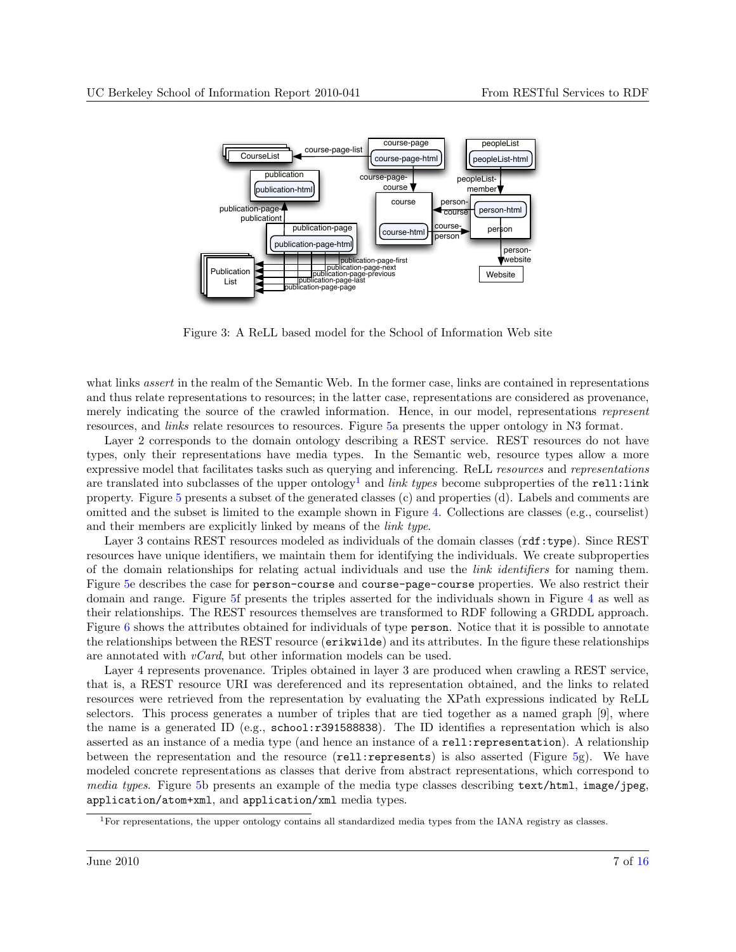<span id="page-6-0"></span>

Figure 3: A ReLL based model for the School of Information Web site

what links *assert* in the realm of the Semantic Web. In the former case, links are contained in representations and thus relate representations to resources; in the latter case, representations are considered as provenance, merely indicating the source of the crawled information. Hence, in our model, representations represent resources, and links relate resources to resources. Figure [5a](#page-12-0) presents the upper ontology in N3 format.

Layer 2 corresponds to the domain ontology describing a REST service. REST resources do not have types, only their representations have media types. In the Semantic web, resource types allow a more expressive model that facilitates tasks such as querying and inferencing. ReLL resources and representations are translated into subclasses of the upper ontology<sup>1</sup> and *link types* become subproperties of the rell:link property. Figure [5](#page-12-0) presents a subset of the generated classes (c) and properties (d). Labels and comments are omitted and the subset is limited to the example shown in Figure [4.](#page-7-0) Collections are classes (e.g., courselist) and their members are explicitly linked by means of the link type.

Layer 3 contains REST resources modeled as individuals of the domain classes ( $\texttt{rdf:type}$ ). Since REST resources have unique identifiers, we maintain them for identifying the individuals. We create subproperties of the domain relationships for relating actual individuals and use the link identifiers for naming them. Figure [5e](#page-12-0) describes the case for person-course and course-page-course properties. We also restrict their domain and range. Figure [5f](#page-12-0) presents the triples asserted for the individuals shown in Figure [4](#page-7-0) as well as their relationships. The REST resources themselves are transformed to RDF following a GRDDL approach. Figure [6](#page-13-0) shows the attributes obtained for individuals of type person. Notice that it is possible to annotate the relationships between the REST resource (erikwilde) and its attributes. In the figure these relationships are annotated with  $vCard$ , but other information models can be used.

Layer 4 represents provenance. Triples obtained in layer 3 are produced when crawling a REST service, that is, a REST resource URI was dereferenced and its representation obtained, and the links to related resources were retrieved from the representation by evaluating the XPath expressions indicated by ReLL selectors. This process generates a number of triples that are tied together as a named graph [\[9\]](#page-9-0), where the name is a generated ID (e.g., school:r391588838). The ID identifies a representation which is also asserted as an instance of a media type (and hence an instance of a rell:representation). A relationship between the representation and the resource (rell:represents) is also asserted (Figure [5g](#page-12-0)). We have modeled concrete representations as classes that derive from abstract representations, which correspond to media types. Figure [5b](#page-12-0) presents an example of the media type classes describing text/html, image/jpeg, application/atom+xml, and application/xml media types.

 ${}^{1}$ For representations, the upper ontology contains all standardized media types from the IANA registry as classes.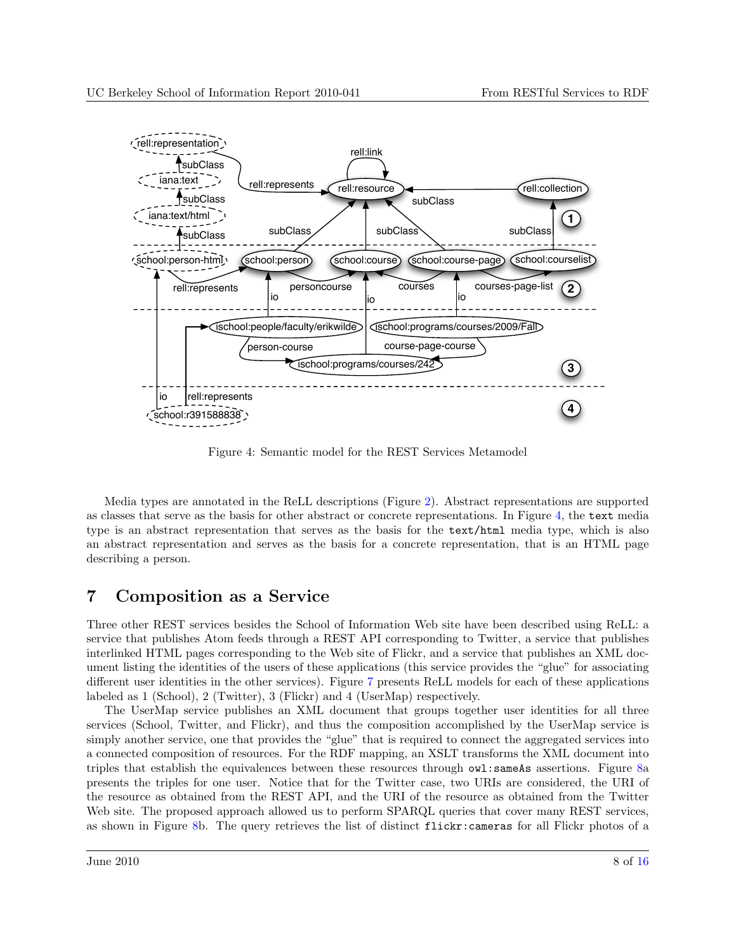<span id="page-7-0"></span>

Figure 4: Semantic model for the REST Services Metamodel

Media types are annotated in the ReLL descriptions (Figure [2\)](#page-5-0). Abstract representations are supported as classes that serve as the basis for other abstract or concrete representations. In Figure 4, the text media type is an abstract representation that serves as the basis for the text/html media type, which is also an abstract representation and serves as the basis for a concrete representation, that is an HTML page describing a person.

### 7 Composition as a Service

Three other REST services besides the School of Information Web site have been described using ReLL: a service that publishes Atom feeds through a REST API corresponding to Twitter, a service that publishes interlinked HTML pages corresponding to the Web site of Flickr, and a service that publishes an XML document listing the identities of the users of these applications (this service provides the "glue" for associating different user identities in the other services). Figure [7](#page-13-0) presents ReLL models for each of these applications labeled as 1 (School), 2 (Twitter), 3 (Flickr) and 4 (UserMap) respectively.

The UserMap service publishes an XML document that groups together user identities for all three services (School, Twitter, and Flickr), and thus the composition accomplished by the UserMap service is simply another service, one that provides the "glue" that is required to connect the aggregated services into a connected composition of resources. For the RDF mapping, an XSLT transforms the XML document into triples that establish the equivalences between these resources through owl:sameAs assertions. Figure [8a](#page-14-0) presents the triples for one user. Notice that for the Twitter case, two URIs are considered, the URI of the resource as obtained from the REST API, and the URI of the resource as obtained from the Twitter Web site. The proposed approach allowed us to perform SPARQL queries that cover many REST services, as shown in Figure [8b](#page-14-0). The query retrieves the list of distinct flickr:cameras for all Flickr photos of a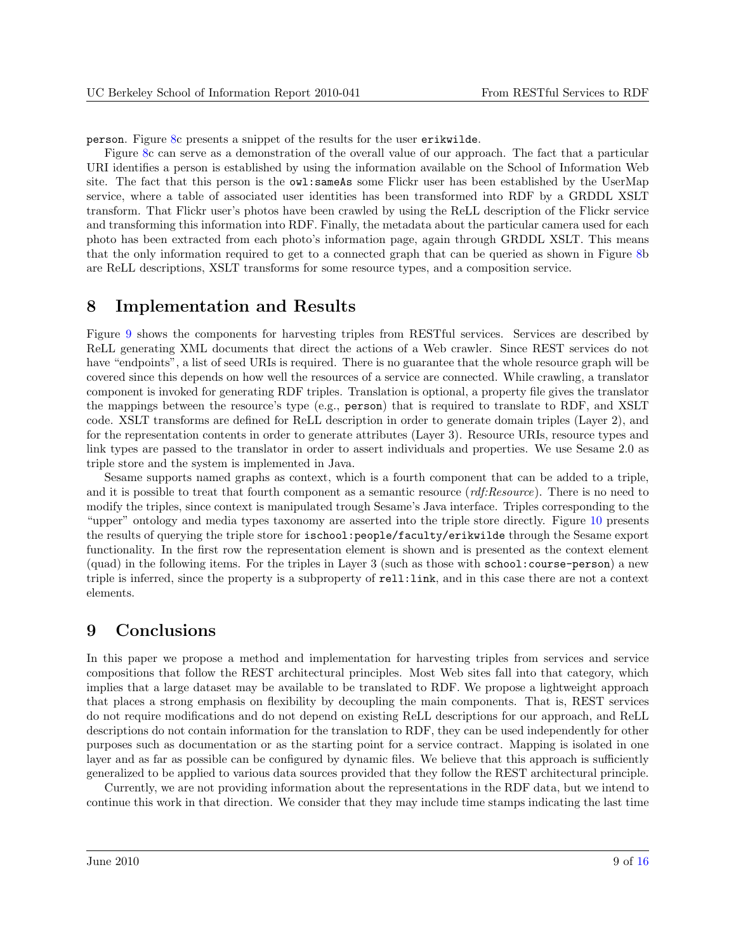<span id="page-8-0"></span>person. Figure [8c](#page-14-0) presents a snippet of the results for the user erikwilde.

Figure [8c](#page-14-0) can serve as a demonstration of the overall value of our approach. The fact that a particular URI identifies a person is established by using the information available on the School of Information Web site. The fact that this person is the  $ovl: \mathsf{same}$  As some Flickr user has been established by the UserMap service, where a table of associated user identities has been transformed into RDF by a GRDDL XSLT transform. That Flickr user's photos have been crawled by using the ReLL description of the Flickr service and transforming this information into RDF. Finally, the metadata about the particular camera used for each photo has been extracted from each photo's information page, again through GRDDL XSLT. This means that the only information required to get to a connected graph that can be queried as shown in Figure [8b](#page-14-0) are ReLL descriptions, XSLT transforms for some resource types, and a composition service.

#### 8 Implementation and Results

Figure [9](#page-14-0) shows the components for harvesting triples from RESTful services. Services are described by ReLL generating XML documents that direct the actions of a Web crawler. Since REST services do not have "endpoints", a list of seed URIs is required. There is no guarantee that the whole resource graph will be covered since this depends on how well the resources of a service are connected. While crawling, a translator component is invoked for generating RDF triples. Translation is optional, a property file gives the translator the mappings between the resource's type (e.g., person) that is required to translate to RDF, and XSLT code. XSLT transforms are defined for ReLL description in order to generate domain triples (Layer 2), and for the representation contents in order to generate attributes (Layer 3). Resource URIs, resource types and link types are passed to the translator in order to assert individuals and properties. We use Sesame 2.0 as triple store and the system is implemented in Java.

Sesame supports named graphs as context, which is a fourth component that can be added to a triple, and it is possible to treat that fourth component as a semantic resource  $(\textit{rdf:Resource})$ . There is no need to modify the triples, since context is manipulated trough Sesame's Java interface. Triples corresponding to the "upper" ontology and media types taxonomy are asserted into the triple store directly. Figure [10](#page-15-0) presents the results of querying the triple store for ischool:people/faculty/erikwilde through the Sesame export functionality. In the first row the representation element is shown and is presented as the context element (quad) in the following items. For the triples in Layer 3 (such as those with school:course-person) a new triple is inferred, since the property is a subproperty of rell:link, and in this case there are not a context elements.

#### 9 Conclusions

In this paper we propose a method and implementation for harvesting triples from services and service compositions that follow the REST architectural principles. Most Web sites fall into that category, which implies that a large dataset may be available to be translated to RDF. We propose a lightweight approach that places a strong emphasis on flexibility by decoupling the main components. That is, REST services do not require modifications and do not depend on existing ReLL descriptions for our approach, and ReLL descriptions do not contain information for the translation to RDF, they can be used independently for other purposes such as documentation or as the starting point for a service contract. Mapping is isolated in one layer and as far as possible can be configured by dynamic files. We believe that this approach is sufficiently generalized to be applied to various data sources provided that they follow the REST architectural principle.

Currently, we are not providing information about the representations in the RDF data, but we intend to continue this work in that direction. We consider that they may include time stamps indicating the last time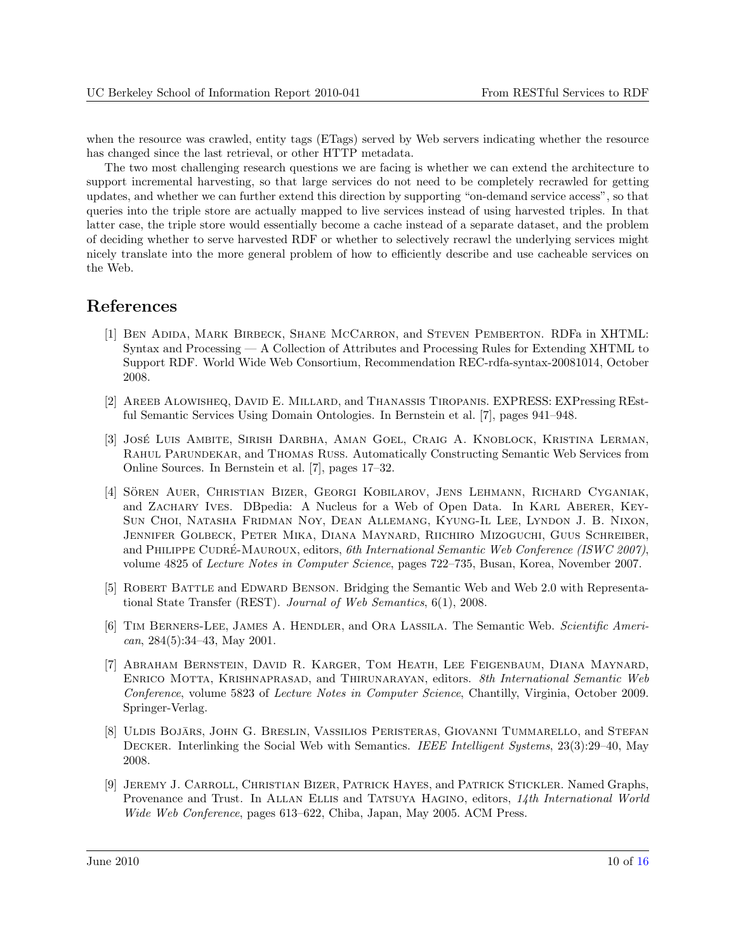<span id="page-9-0"></span>when the resource was crawled, entity tags (ETags) served by Web servers indicating whether the resource has changed since the last retrieval, or other HTTP metadata.

The two most challenging research questions we are facing is whether we can extend the architecture to support incremental harvesting, so that large services do not need to be completely recrawled for getting updates, and whether we can further extend this direction by supporting "on-demand service access", so that queries into the triple store are actually mapped to live services instead of using harvested triples. In that latter case, the triple store would essentially become a cache instead of a separate dataset, and the problem of deciding whether to serve harvested RDF or whether to selectively recrawl the underlying services might nicely translate into the more general problem of how to efficiently describe and use cacheable services on the Web.

### References

- [1] Ben Adida, Mark Birbeck, Shane McCarron, and Steven Pemberton. RDFa in XHTML: Syntax and Processing — A Collection of Attributes and Processing Rules for Extending XHTML to Support RDF. World Wide Web Consortium, Recommendation REC-rdfa-syntax-20081014, October 2008.
- [2] Areeb Alowisheq, David E. Millard, and Thanassis Tiropanis. EXPRESS: EXPressing REstful Semantic Services Using Domain Ontologies. In Bernstein et al. [7], pages 941–948.
- [3] José Luis Ambite, Sirish Darbha, Aman Goel, Craig A. Knoblock, Kristina Lerman, Rahul Parundekar, and Thomas Russ. Automatically Constructing Semantic Web Services from Online Sources. In Bernstein et al. [7], pages 17–32.
- [4] SÖREN AUER, CHRISTIAN BIZER, GEORGI KOBILAROV, JENS LEHMANN, RICHARD CYGANIAK, and ZACHARY IVES. DBpedia: A Nucleus for a Web of Open Data. In KARL ABERER, KEY-Sun Choi, Natasha Fridman Noy, Dean Allemang, Kyung-Il Lee, Lyndon J. B. Nixon, Jennifer Golbeck, Peter Mika, Diana Maynard, Riichiro Mizoguchi, Guus Schreiber, and PHILIPPE CUDRÉ-MAUROUX, editors, 6th International Semantic Web Conference (ISWC 2007), volume 4825 of Lecture Notes in Computer Science, pages 722–735, Busan, Korea, November 2007.
- [5] ROBERT BATTLE and EDWARD BENSON. Bridging the Semantic Web and Web 2.0 with Representational State Transfer (REST). Journal of Web Semantics, 6(1), 2008.
- [6] TIM BERNERS-LEE, JAMES A. HENDLER, and ORA LASSILA. The Semantic Web. Scientific American, 284(5):34–43, May 2001.
- [7] Abraham Bernstein, David R. Karger, Tom Heath, Lee Feigenbaum, Diana Maynard, Enrico Motta, Krishnaprasad, and Thirunarayan, editors. 8th International Semantic Web Conference, volume 5823 of Lecture Notes in Computer Science, Chantilly, Virginia, October 2009. Springer-Verlag.
- [8] ULDIS BOJĀRS, JOHN G. BRESLIN, VASSILIOS PERISTERAS, GIOVANNI TUMMARELLO, and STEFAN DECKER. Interlinking the Social Web with Semantics. IEEE Intelligent Systems, 23(3):29–40, May 2008.
- [9] Jeremy J. Carroll, Christian Bizer, Patrick Hayes, and Patrick Stickler. Named Graphs, Provenance and Trust. In ALLAN ELLIS and TATSUYA HAGINO, editors, 14th International World Wide Web Conference, pages 613–622, Chiba, Japan, May 2005. ACM Press.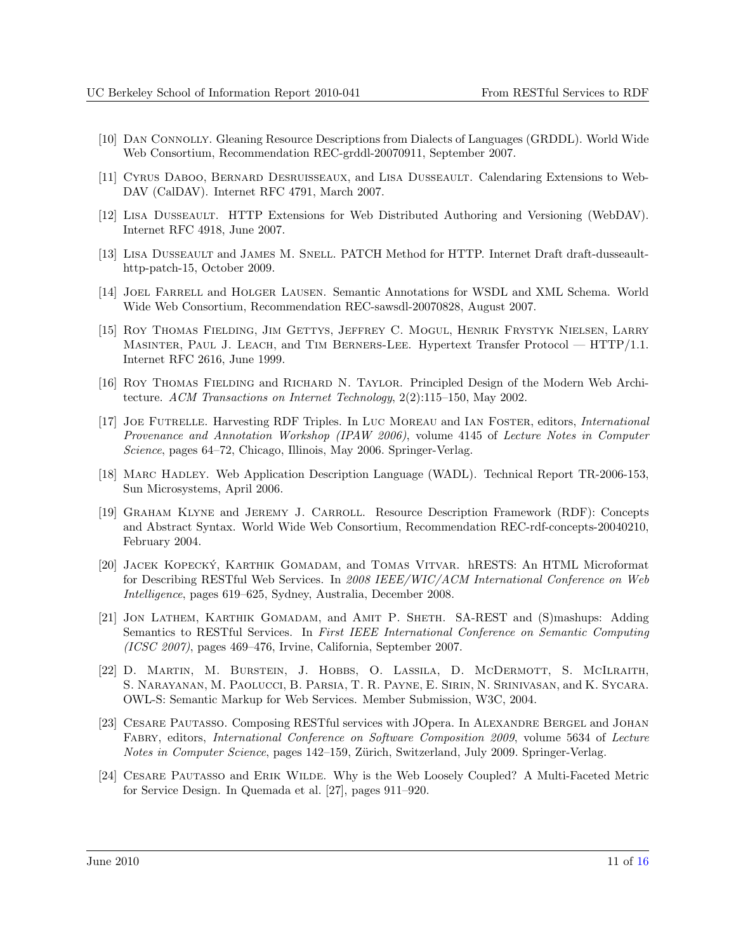- <span id="page-10-0"></span>[10] Dan Connolly. Gleaning Resource Descriptions from Dialects of Languages (GRDDL). World Wide Web Consortium, Recommendation REC-grddl-20070911, September 2007.
- [11] Cyrus Daboo, Bernard Desruisseaux, and Lisa Dusseault. Calendaring Extensions to Web-DAV (CalDAV). Internet RFC 4791, March 2007.
- [12] Lisa Dusseault. HTTP Extensions for Web Distributed Authoring and Versioning (WebDAV). Internet RFC 4918, June 2007.
- [13] LISA DUSSEAULT and JAMES M. SNELL. PATCH Method for HTTP. Internet Draft draft-dusseaulthttp-patch-15, October 2009.
- [14] Joel Farrell and Holger Lausen. Semantic Annotations for WSDL and XML Schema. World Wide Web Consortium, Recommendation REC-sawsdl-20070828, August 2007.
- [15] Roy Thomas Fielding, Jim Gettys, Jeffrey C. Mogul, Henrik Frystyk Nielsen, Larry Masinter, Paul J. Leach, and Tim Berners-Lee. Hypertext Transfer Protocol — HTTP/1.1. Internet RFC 2616, June 1999.
- [16] Roy Thomas Fielding and Richard N. Taylor. Principled Design of the Modern Web Architecture. ACM Transactions on Internet Technology, 2(2):115–150, May 2002.
- [17] Joe Futrelle. Harvesting RDF Triples. In Luc Moreau and Ian Foster, editors, International Provenance and Annotation Workshop (IPAW 2006), volume 4145 of Lecture Notes in Computer Science, pages 64–72, Chicago, Illinois, May 2006. Springer-Verlag.
- [18] MARC HADLEY. Web Application Description Language (WADL). Technical Report TR-2006-153, Sun Microsystems, April 2006.
- [19] Graham Klyne and Jeremy J. Carroll. Resource Description Framework (RDF): Concepts and Abstract Syntax. World Wide Web Consortium, Recommendation REC-rdf-concepts-20040210, February 2004.
- [20] JACEK KOPECKÝ, KARTHIK GOMADAM, and TOMAS VITVAR. hRESTS: An HTML Microformat for Describing RESTful Web Services. In 2008 IEEE/WIC/ACM International Conference on Web Intelligence, pages 619–625, Sydney, Australia, December 2008.
- [21] Jon Lathem, Karthik Gomadam, and Amit P. Sheth. SA-REST and (S)mashups: Adding Semantics to RESTful Services. In First IEEE International Conference on Semantic Computing (ICSC 2007), pages 469–476, Irvine, California, September 2007.
- [22] D. Martin, M. Burstein, J. Hobbs, O. Lassila, D. McDermott, S. McIlraith, S. Narayanan, M. Paolucci, B. Parsia, T. R. Payne, E. Sirin, N. Srinivasan, and K. Sycara. OWL-S: Semantic Markup for Web Services. Member Submission, W3C, 2004.
- [23] CESARE PAUTASSO. Composing RESTful services with JOpera. In ALEXANDRE BERGEL and JOHAN Fabry, editors, International Conference on Software Composition 2009, volume 5634 of Lecture Notes in Computer Science, pages 142–159, Zürich, Switzerland, July 2009. Springer-Verlag.
- [24] Cesare Pautasso and Erik Wilde. Why is the Web Loosely Coupled? A Multi-Faceted Metric for Service Design. In Quemada et al. [\[27\]](#page-11-0), pages 911–920.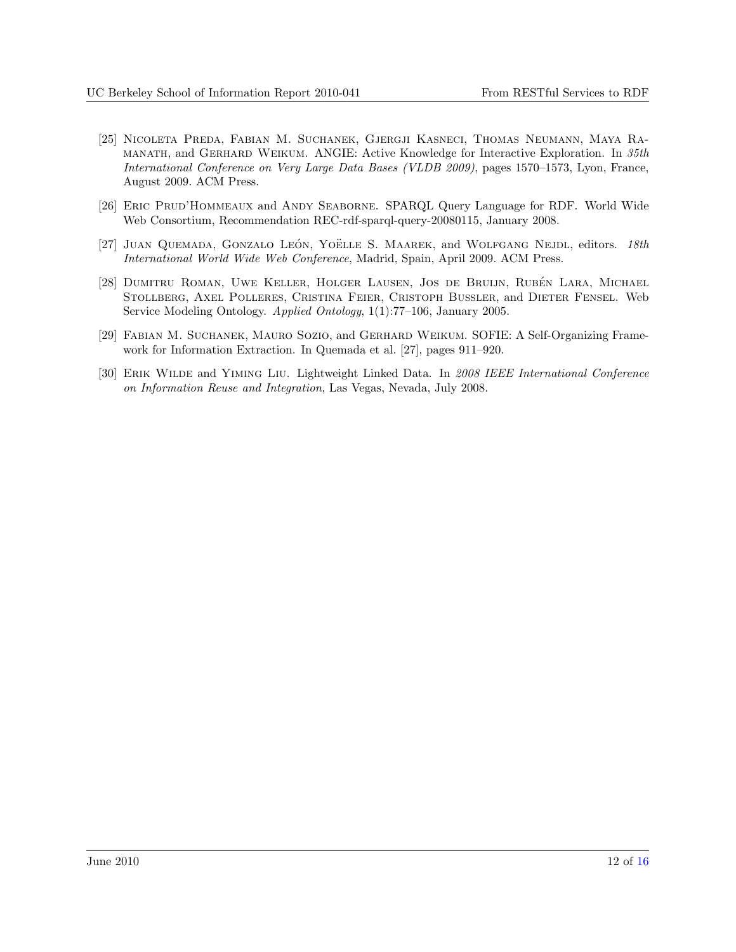- <span id="page-11-0"></span>[25] Nicoleta Preda, Fabian M. Suchanek, Gjergji Kasneci, Thomas Neumann, Maya Ramanath, and Gerhard Weikum. ANGIE: Active Knowledge for Interactive Exploration. In 35th International Conference on Very Large Data Bases (VLDB 2009), pages 1570–1573, Lyon, France, August 2009. ACM Press.
- [26] Eric Prud'Hommeaux and Andy Seaborne. SPARQL Query Language for RDF. World Wide Web Consortium, Recommendation REC-rdf-sparql-query-20080115, January 2008.
- [27] JUAN QUEMADA, GONZALO LEÓN, YOËLLE S. MAAREK, and WOLFGANG NEJDL, editors. 18th International World Wide Web Conference, Madrid, Spain, April 2009. ACM Press.
- [28] DUMITRU ROMAN, UWE KELLER, HOLGER LAUSEN, JOS DE BRUIJN, RUBÉN LARA, MICHAEL Stollberg, Axel Polleres, Cristina Feier, Cristoph Bussler, and Dieter Fensel. Web Service Modeling Ontology. Applied Ontology, 1(1):77–106, January 2005.
- [29] Fabian M. Suchanek, Mauro Sozio, and Gerhard Weikum. SOFIE: A Self-Organizing Framework for Information Extraction. In Quemada et al. [27], pages 911–920.
- [30] ERIK WILDE and YIMING LIU. Lightweight Linked Data. In 2008 IEEE International Conference on Information Reuse and Integration, Las Vegas, Nevada, July 2008.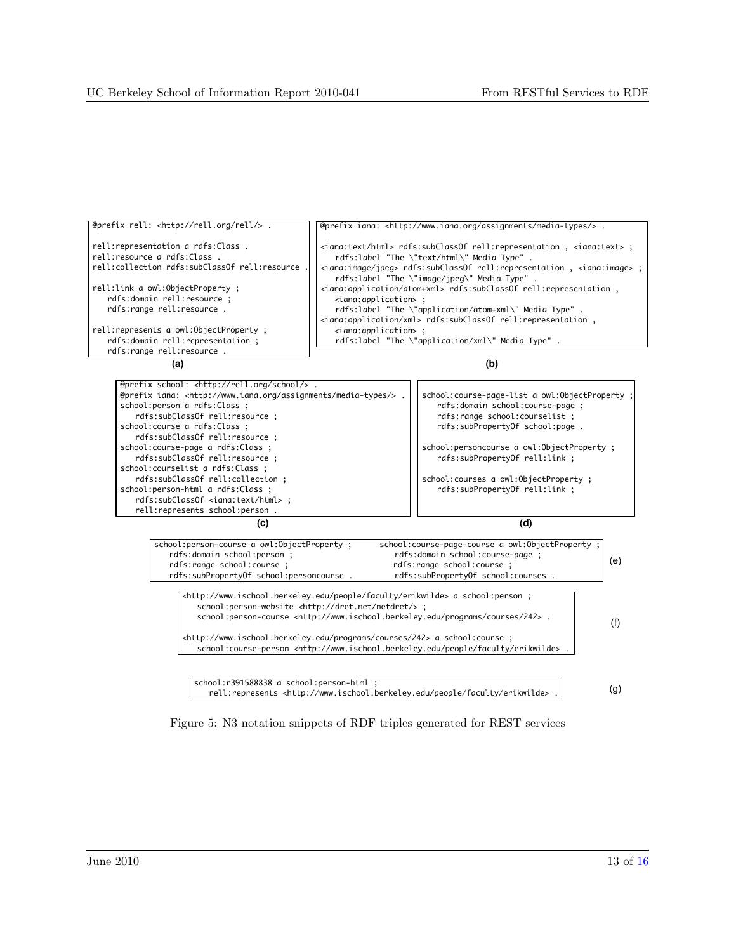<span id="page-12-0"></span>



| @prefix school: <http: rell.org="" school=""></http:> .                       |                                                 |  |  |
|-------------------------------------------------------------------------------|-------------------------------------------------|--|--|
| @prefix iana: <http: assignments="" media-types="" www.iana.org=""></http:> . | school: course-page-list a owl: ObjectProperty; |  |  |
| school: person a rdfs: Class ;                                                | rdfs:domain school:course-page ;                |  |  |
| rdfs:subClassOf rell:resource ;                                               | rdfs: range school: courselist;                 |  |  |
| school: course a rdfs: Class ;                                                | rdfs:subPropertyOf school:page.                 |  |  |
| rdfs:subClassOf rell:resource ;                                               |                                                 |  |  |
| school:course-page a rdfs:Class ;                                             | school: personcourse a owl: ObjectProperty ;    |  |  |
| rdfs:subClassOf rell:resource ;                                               | rdfs:subPropertyOf rell:link ;                  |  |  |
| school: courselist a rdfs: Class ;                                            |                                                 |  |  |
| rdfs:subClassOf rell:collection ;                                             | school: courses a owl: ObjectProperty ;         |  |  |
| school:person-html a rdfs:Class ;                                             | rdfs:subPropertyOf rell:link ;                  |  |  |
| rdfs:subClassOf <iana:text html=""> ;</iana:text>                             |                                                 |  |  |
| rell: represents school: person.                                              |                                                 |  |  |
| (C)                                                                           |                                                 |  |  |

| school: person-course a owl: ObjectProperty ;<br>rdfs:domain school:person ;<br>rdfs: range school: course ;<br>rdfs:subPropertyOf school:personcourse.                                                                                                               | school: course-page-course a owl: ObjectProperty ;<br>rdfs:domain school:course-page ;<br>rdfs:range school:course ;<br>rdfs:subPropertyOf school:courses. | (e) |  |  |  |
|-----------------------------------------------------------------------------------------------------------------------------------------------------------------------------------------------------------------------------------------------------------------------|------------------------------------------------------------------------------------------------------------------------------------------------------------|-----|--|--|--|
| <http: erikwilde="" faculty="" people="" www.ischool.berkeley.edu=""> a school:person ;<br/>school:person-website <http: dret.net="" netdret=""></http:>;<br/>school:person-course <http: 242="" courses="" programs="" www.ischool.berkeley.edu="">.</http:></http:> |                                                                                                                                                            |     |  |  |  |
| <http: 242="" courses="" programs="" www.ischool.berkeley.edu=""> a school:course ;<br/>school:course-person <http: erikwilde="" faculty="" people="" www.ischool.berkeley.edu="">.</http:></http:>                                                                   |                                                                                                                                                            |     |  |  |  |

 school:r391588838 a school:person-html ; rell:represents <http://www.ischool.berkeley.edu/people/faculty/erikwilde> .

(g)

Figure 5: N3 notation snippets of RDF triples generated for REST services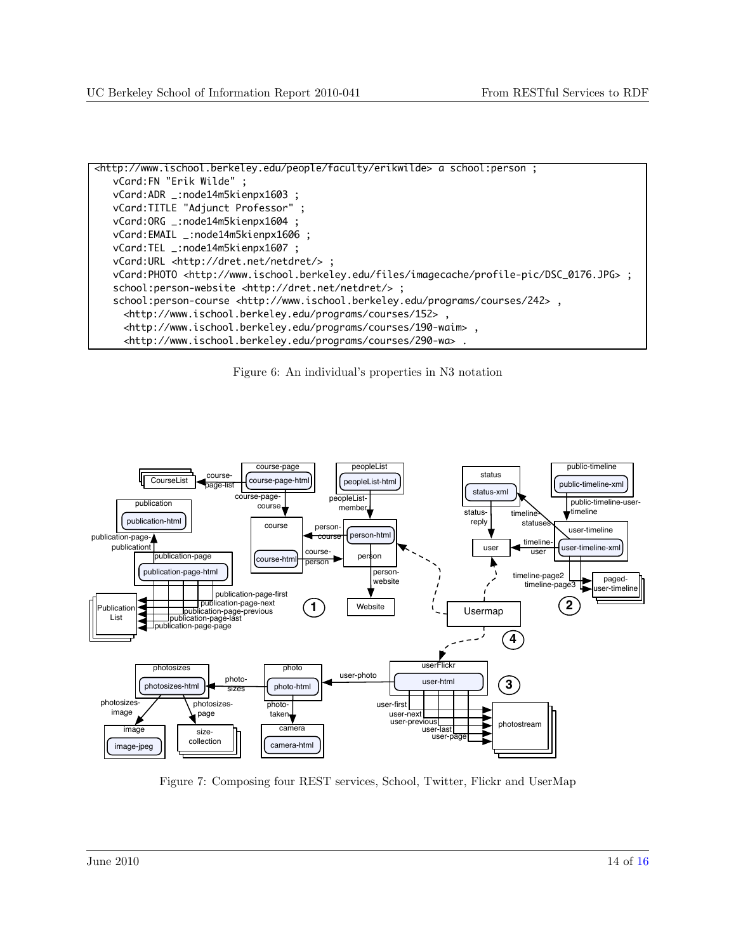<span id="page-13-0"></span>

Figure 6: An individual's properties in N3 notation



Figure 7: Composing four REST services, School, Twitter, Flickr and UserMap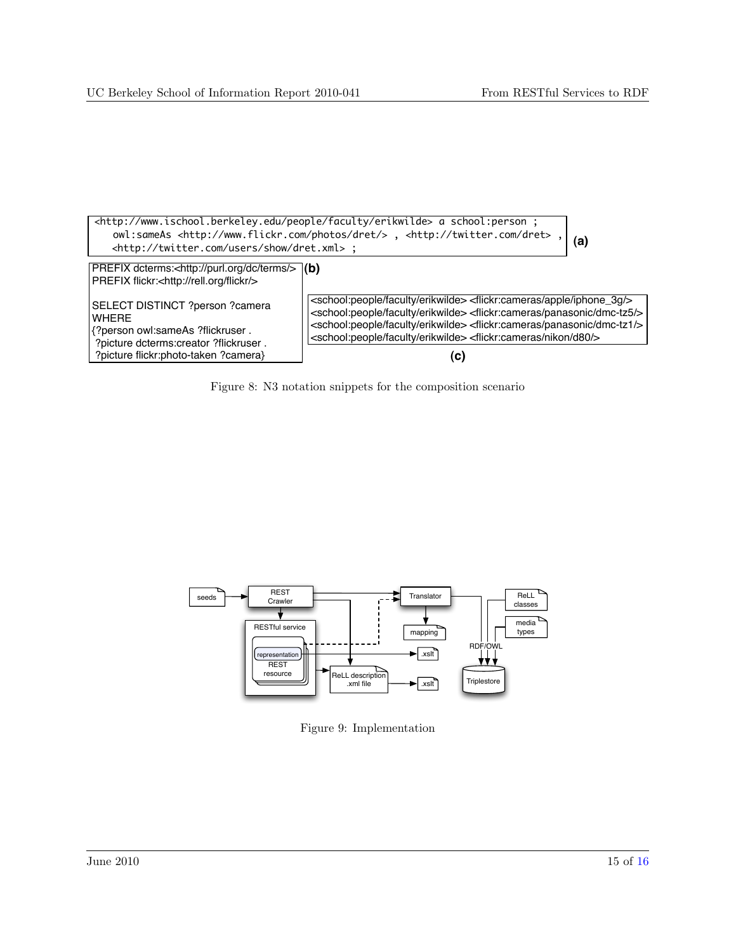<span id="page-14-0"></span>

Figure 8: N3 notation snippets for the composition scenario



Figure 9: Implementation